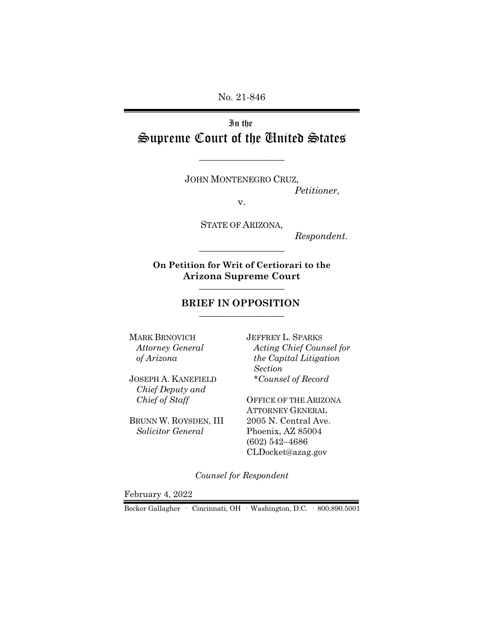No. 21-846

In the Supreme Court of the United States

JOHN MONTENEGRO CRUZ,

\_\_\_\_\_\_\_\_\_\_\_\_\_\_\_\_\_\_

*Petitioner*,

v.

STATE OF ARIZONA,

*Respondent.*

**On Petition for Writ of Certiorari to the Arizona Supreme Court** \_\_\_\_\_\_\_\_\_\_\_\_\_\_\_\_\_\_

\_\_\_\_\_\_\_\_\_\_\_\_\_\_\_\_\_\_

#### **BRIEF IN OPPOSITION**  \_\_\_\_\_\_\_\_\_\_\_\_\_\_\_\_\_\_

MARK BRNOVICH  *Attorney General of Arizona*

JOSEPH A. KANEFIELD  *Chief Deputy and Chief of Staff*

BRUNN W. ROYSDEN, III  *Solicitor General*

JEFFREY L. SPARKS  *Acting Chief Counsel for the Capital Litigation Section \*Counsel of Record*

OFFICE OF THE ARIZONA ATTORNEY GENERAL 2005 N. Central Ave. Phoenix, AZ 85004 (602) 542–4686 CLDocket@azag.gov

*Counsel for Respondent*

February 4, 2022

Becker Gallagher · Cincinnati, OH · Washington, D.C. · 800.890.5001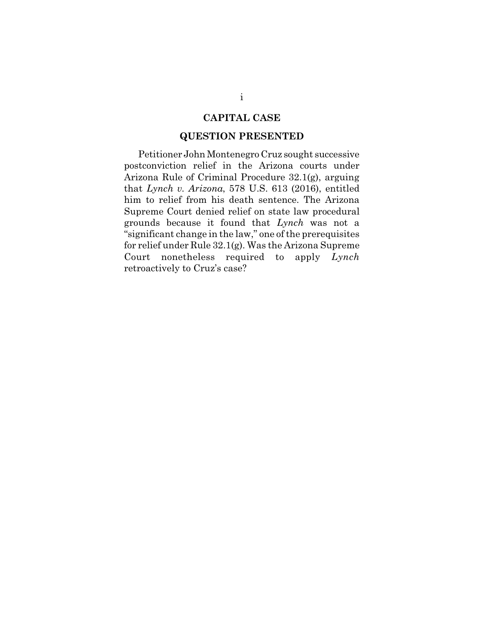## **CAPITAL CASE**

#### **QUESTION PRESENTED**

Petitioner John Montenegro Cruz sought successive postconviction relief in the Arizona courts under Arizona Rule of Criminal Procedure 32.1(g), arguing that *Lynch v. Arizona*, 578 U.S. 613 (2016), entitled him to relief from his death sentence. The Arizona Supreme Court denied relief on state law procedural grounds because it found that *Lynch* was not a "significant change in the law," one of the prerequisites for relief under Rule 32.1(g). Was the Arizona Supreme Court nonetheless required to apply *Lynch* retroactively to Cruz's case?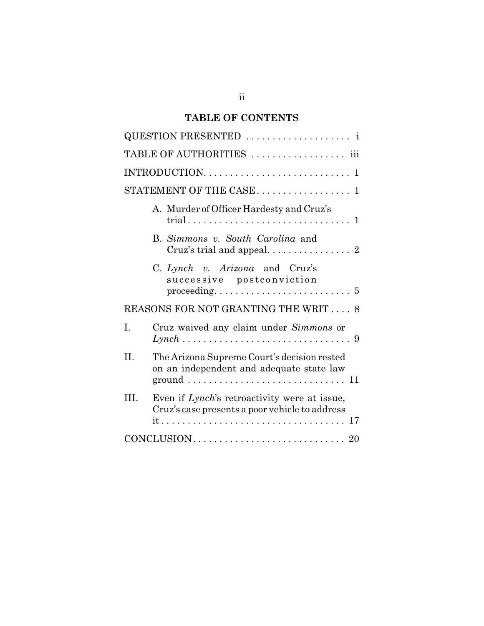# **TABLE OF CONTENTS**

| QUESTION PRESENTED                                                                                     |
|--------------------------------------------------------------------------------------------------------|
| TABLE OF AUTHORITIES  iii                                                                              |
|                                                                                                        |
| STATEMENT OF THE CASE  1                                                                               |
| A. Murder of Officer Hardesty and Cruz's                                                               |
| B. Simmons v. South Carolina and                                                                       |
| C. Lynch v. Arizona and Cruz's<br>successive postconviction                                            |
| REASONS FOR NOT GRANTING THE WRIT 8                                                                    |
| I.<br>Cruz waived any claim under Simmons or                                                           |
| II.<br>The Arizona Supreme Court's decision rested<br>on an independent and adequate state law         |
| Even if Lynch's retroactivity were at issue,<br>III.<br>Cruz's case presents a poor vehicle to address |
|                                                                                                        |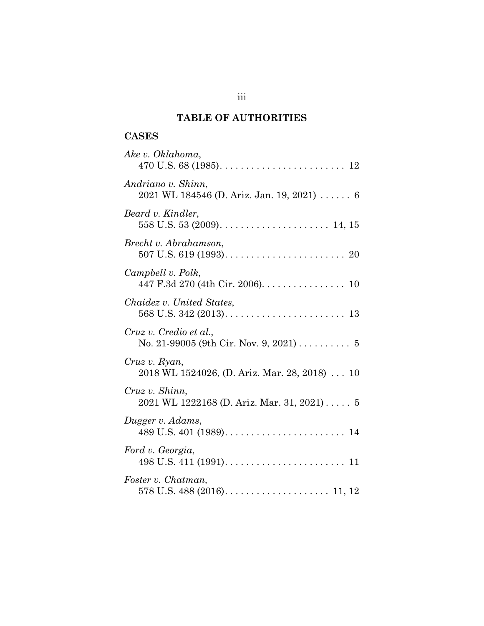# **TABLE OF AUTHORITIES**

# **CASES**

| Ake v. Oklahoma,                                                 |
|------------------------------------------------------------------|
| Andriano v. Shinn,<br>2021 WL 184546 (D. Ariz. Jan. 19, 2021)  6 |
| Beard v. Kindler,                                                |
| Brecht v. Abrahamson,                                            |
| Campbell v. Polk,<br>447 F.3d 270 (4th Cir. 2006). 10            |
| Chaidez v. United States,                                        |
| Cruz v. Credio et al.,<br>No. 21-99005 (9th Cir. Nov. 9, 2021) 5 |
| Cruz v. Ryan,<br>2018 WL 1524026, (D. Ariz. Mar. 28, 2018)  10   |
| Cruz v. Shinn,<br>2021 WL 1222168 (D. Ariz. Mar. 31, 2021) 5     |
| Dugger v. Adams,                                                 |
| Ford v. Georgia,                                                 |
| Foster v. Chatman,                                               |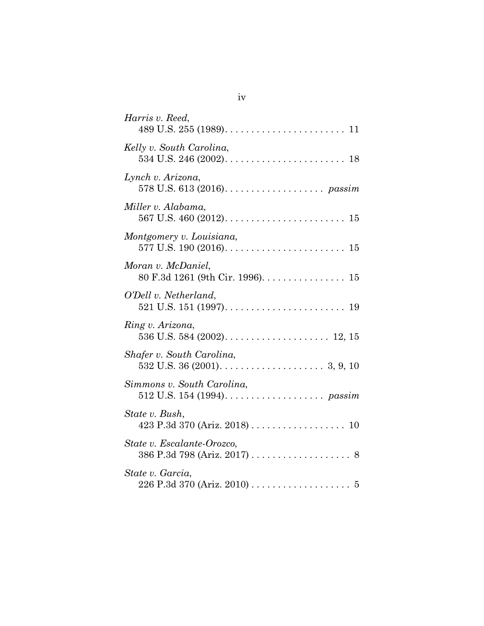| Harris v. Reed,                                                                       |
|---------------------------------------------------------------------------------------|
| Kelly v. South Carolina,                                                              |
| Lynch v. Arizona,<br>578 U.S. 613 (2016). $\ldots \ldots \ldots \ldots \ldots$ passim |
| Miller v. Alabama,                                                                    |
| Montgomery v. Louisiana,                                                              |
| Moran v. McDaniel,<br>80 F.3d 1261 (9th Cir. 1996). 15                                |
| O'Dell v. Netherland,                                                                 |
| Ring v. Arizona,                                                                      |
| Shafer v. South Carolina,                                                             |
| Simmons v. South Carolina,                                                            |
| State v. Bush,                                                                        |
| State v. Escalante-Orozco,                                                            |
| State v. Garcia,                                                                      |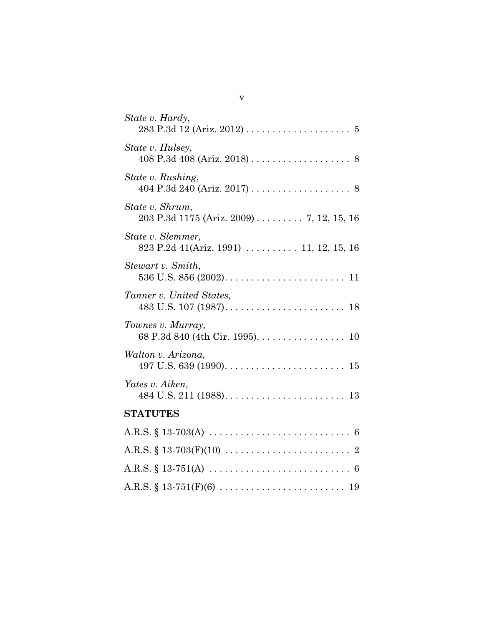| State v. Hardy,                                               |
|---------------------------------------------------------------|
| State v. Hulsey,                                              |
| State v. Rushing,                                             |
| State v. Shrum,<br>$203$ P.3d 1175 (Ariz. 2009) 7, 12, 15, 16 |
| State v. Slemmer,<br>823 P.2d 41(Ariz. 1991)  11, 12, 15, 16  |
| Stewart v. Smith,                                             |
| Tanner v. United States,                                      |
| Townes v. Murray,<br>68 P.3d 840 (4th Cir. 1995). 10          |
| Walton v. Arizona,                                            |
| Yates v. Aiken,                                               |
| <b>STATUTES</b>                                               |
|                                                               |
|                                                               |
|                                                               |
|                                                               |

v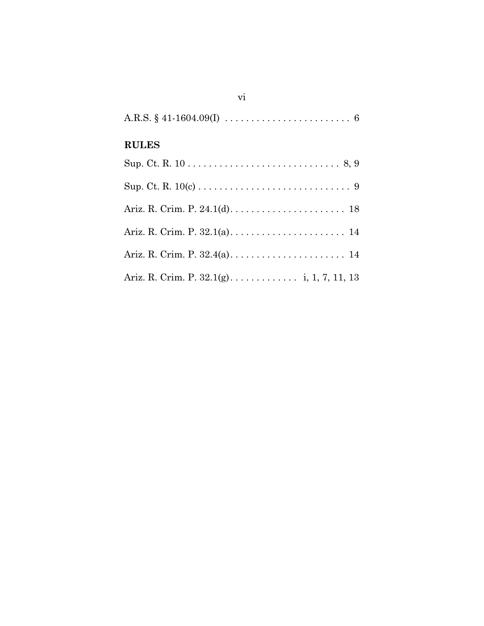| <b>RULES</b> |
|--------------|
|              |
|              |
|              |
|              |
|              |
|              |

vi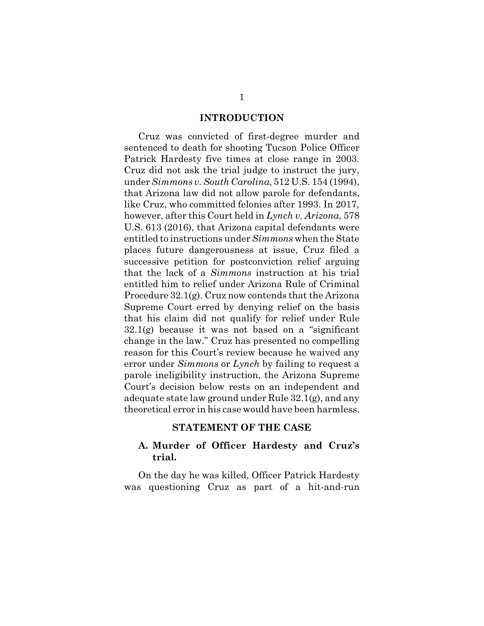#### **INTRODUCTION**

Cruz was convicted of first-degree murder and sentenced to death for shooting Tucson Police Officer Patrick Hardesty five times at close range in 2003. Cruz did not ask the trial judge to instruct the jury, under *Simmons v. South Carolina*, 512 U.S. 154 (1994), that Arizona law did not allow parole for defendants, like Cruz, who committed felonies after 1993. In 2017, however, after this Court held in *Lynch v. Arizona*, 578 U.S. 613 (2016), that Arizona capital defendants were entitled to instructions under *Simmons* when the State places future dangerousness at issue, Cruz filed a successive petition for postconviction relief arguing that the lack of a *Simmons* instruction at his trial entitled him to relief under Arizona Rule of Criminal Procedure 32.1(g). Cruz now contends that the Arizona Supreme Court erred by denying relief on the basis that his claim did not qualify for relief under Rule  $32.1(g)$  because it was not based on a "significant" change in the law." Cruz has presented no compelling reason for this Court's review because he waived any error under *Simmons* or *Lynch* by failing to request a parole ineligibility instruction, the Arizona Supreme Court's decision below rests on an independent and adequate state law ground under Rule 32.1(g), and any theoretical error in his case would have been harmless.

#### **STATEMENT OF THE CASE**

## **A. Murder of Officer Hardesty and Cruz's trial.**

On the day he was killed, Officer Patrick Hardesty was questioning Cruz as part of a hit-and-run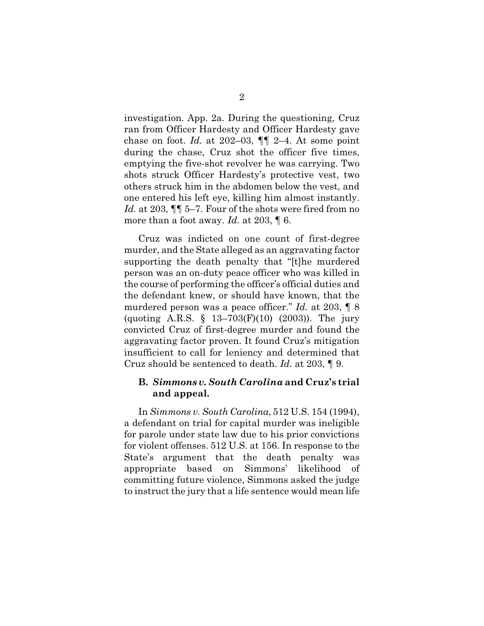investigation. App. 2a. During the questioning, Cruz ran from Officer Hardesty and Officer Hardesty gave chase on foot. *Id.* at  $202-03$ ,  $\P\P$  2-4. At some point during the chase, Cruz shot the officer five times, emptying the five-shot revolver he was carrying. Two shots struck Officer Hardesty's protective vest, two others struck him in the abdomen below the vest, and one entered his left eye, killing him almost instantly. *Id.* at 203, ¶¶ 5–7. Four of the shots were fired from no more than a foot away. *Id.* at 203, ¶ 6.

Cruz was indicted on one count of first-degree murder, and the State alleged as an aggravating factor supporting the death penalty that "[t]he murdered person was an on-duty peace officer who was killed in the course of performing the officer's official duties and the defendant knew, or should have known, that the murdered person was a peace officer." *Id.* at 203, ¶ 8 (quoting A.R.S. § 13–703(F)(10) (2003)). The jury convicted Cruz of first-degree murder and found the aggravating factor proven. It found Cruz's mitigation insufficient to call for leniency and determined that Cruz should be sentenced to death. *Id.* at 203, ¶ 9.

### **B.** *Simmons v. South Carolina* **and Cruz's trial and appeal.**

In *Simmons v. South Carolina*, 512 U.S. 154 (1994), a defendant on trial for capital murder was ineligible for parole under state law due to his prior convictions for violent offenses. 512 U.S. at 156. In response to the State's argument that the death penalty was appropriate based on Simmons' likelihood of committing future violence, Simmons asked the judge to instruct the jury that a life sentence would mean life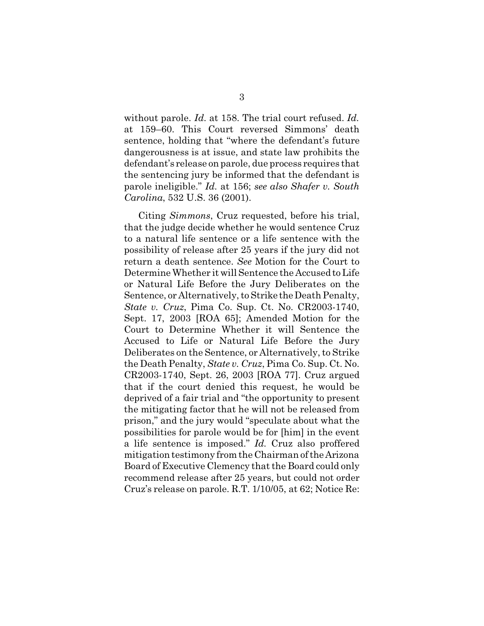without parole. *Id.* at 158. The trial court refused. *Id.* at 159–60. This Court reversed Simmons' death sentence, holding that "where the defendant's future dangerousness is at issue, and state law prohibits the defendant's release on parole, due process requires that the sentencing jury be informed that the defendant is parole ineligible." *Id.* at 156; *see also Shafer v. South Carolina*, 532 U.S. 36 (2001).

Citing *Simmons*, Cruz requested, before his trial, that the judge decide whether he would sentence Cruz to a natural life sentence or a life sentence with the possibility of release after 25 years if the jury did not return a death sentence. *See* Motion for the Court to Determine Whether it will Sentence the Accused to Life or Natural Life Before the Jury Deliberates on the Sentence, or Alternatively, to Strike the Death Penalty, *State v. Cruz*, Pima Co. Sup. Ct. No. CR2003-1740, Sept. 17, 2003 [ROA 65]; Amended Motion for the Court to Determine Whether it will Sentence the Accused to Life or Natural Life Before the Jury Deliberates on the Sentence, or Alternatively, to Strike the Death Penalty, *State v. Cruz*, Pima Co. Sup. Ct. No. CR2003-1740, Sept. 26, 2003 [ROA 77]. Cruz argued that if the court denied this request, he would be deprived of a fair trial and "the opportunity to present the mitigating factor that he will not be released from prison," and the jury would "speculate about what the possibilities for parole would be for [him] in the event a life sentence is imposed." *Id.* Cruz also proffered mitigation testimony from the Chairman of the Arizona Board of Executive Clemency that the Board could only recommend release after 25 years, but could not order Cruz's release on parole. R.T. 1/10/05, at 62; Notice Re: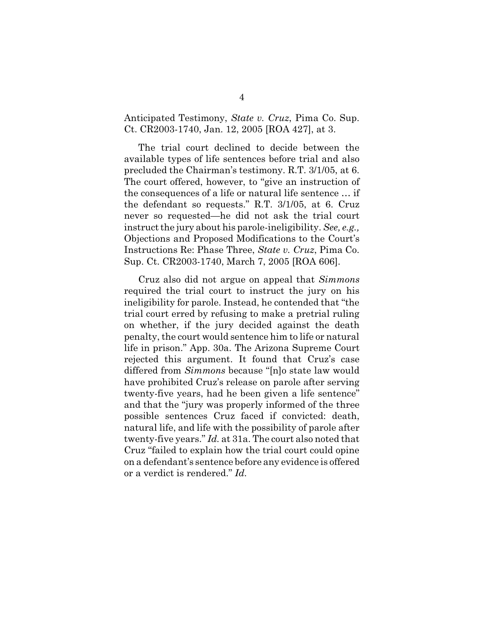Anticipated Testimony, *State v. Cruz*, Pima Co. Sup. Ct. CR2003-1740, Jan. 12, 2005 [ROA 427], at 3.

The trial court declined to decide between the available types of life sentences before trial and also precluded the Chairman's testimony. R.T. 3/1/05, at 6. The court offered, however, to "give an instruction of the consequences of a life or natural life sentence … if the defendant so requests." R.T. 3/1/05, at 6. Cruz never so requested—he did not ask the trial court instruct the jury about his parole-ineligibility. *See, e.g.,* Objections and Proposed Modifications to the Court's Instructions Re: Phase Three, *State v. Cruz*, Pima Co. Sup. Ct. CR2003-1740, March 7, 2005 [ROA 606].

Cruz also did not argue on appeal that *Simmons* required the trial court to instruct the jury on his ineligibility for parole. Instead, he contended that "the trial court erred by refusing to make a pretrial ruling on whether, if the jury decided against the death penalty, the court would sentence him to life or natural life in prison." App. 30a. The Arizona Supreme Court rejected this argument. It found that Cruz's case differed from *Simmons* because "[n]o state law would have prohibited Cruz's release on parole after serving twenty-five years, had he been given a life sentence" and that the "jury was properly informed of the three possible sentences Cruz faced if convicted: death, natural life, and life with the possibility of parole after twenty-five years." *Id.* at 31a. The court also noted that Cruz "failed to explain how the trial court could opine on a defendant's sentence before any evidence is offered or a verdict is rendered." *Id.*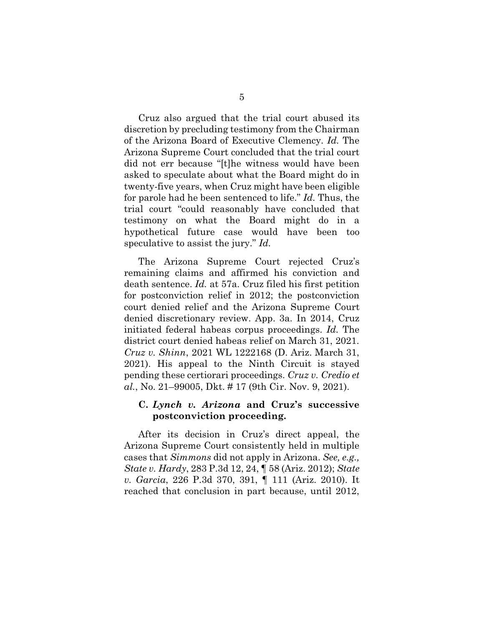Cruz also argued that the trial court abused its discretion by precluding testimony from the Chairman of the Arizona Board of Executive Clemency. *Id.* The Arizona Supreme Court concluded that the trial court did not err because "[t]he witness would have been asked to speculate about what the Board might do in twenty-five years, when Cruz might have been eligible for parole had he been sentenced to life." *Id.* Thus, the trial court "could reasonably have concluded that testimony on what the Board might do in a hypothetical future case would have been too speculative to assist the jury." *Id.*

The Arizona Supreme Court rejected Cruz's remaining claims and affirmed his conviction and death sentence. *Id.* at 57a. Cruz filed his first petition for postconviction relief in 2012; the postconviction court denied relief and the Arizona Supreme Court denied discretionary review. App. 3a. In 2014, Cruz initiated federal habeas corpus proceedings. *Id.* The district court denied habeas relief on March 31, 2021. *Cruz v. Shinn*, 2021 WL 1222168 (D. Ariz. March 31, 2021). His appeal to the Ninth Circuit is stayed pending these certiorari proceedings. *Cruz v. Credio et al.*, No. 21–99005, Dkt. # 17 (9th Cir. Nov. 9, 2021).

## **C.** *Lynch v. Arizona* **and Cruz's successive postconviction proceeding.**

After its decision in Cruz's direct appeal, the Arizona Supreme Court consistently held in multiple cases that *Simmons* did not apply in Arizona. *See, e.g., State v. Hardy*, 283 P.3d 12, 24, ¶ 58 (Ariz. 2012); *State v. Garcia*, 226 P.3d 370, 391, ¶ 111 (Ariz. 2010). It reached that conclusion in part because, until 2012,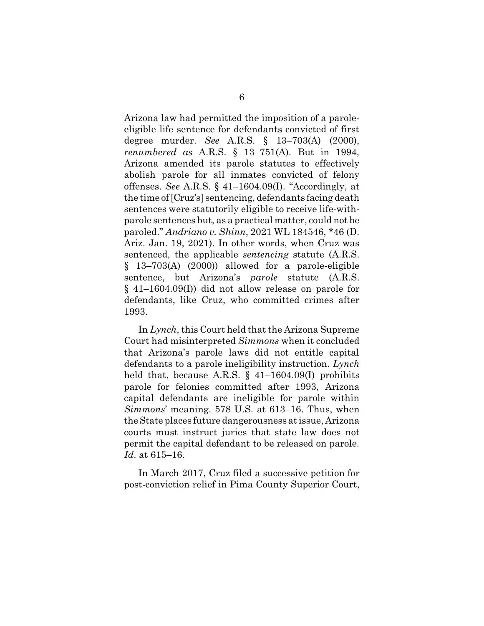Arizona law had permitted the imposition of a paroleeligible life sentence for defendants convicted of first degree murder. *See* A.R.S. § 13–703(A) (2000), *renumbered as* A.R.S. § 13–751(A). But in 1994, Arizona amended its parole statutes to effectively abolish parole for all inmates convicted of felony offenses. *See* A.R.S. § 41–1604.09(I). "Accordingly, at the time of [Cruz's] sentencing, defendants facing death sentences were statutorily eligible to receive life-withparole sentences but, as a practical matter, could not be paroled." *Andriano v. Shinn*, 2021 WL 184546, \*46 (D. Ariz. Jan. 19, 2021). In other words, when Cruz was sentenced, the applicable *sentencing* statute (A.R.S. § 13–703(A) (2000)) allowed for a parole-eligible sentence, but Arizona's *parole* statute (A.R.S. § 41–1604.09(I)) did not allow release on parole for defendants, like Cruz, who committed crimes after 1993.

In *Lynch*, this Court held that the Arizona Supreme Court had misinterpreted *Simmons* when it concluded that Arizona's parole laws did not entitle capital defendants to a parole ineligibility instruction. *Lynch* held that, because A.R.S. § 41–1604.09(I) prohibits parole for felonies committed after 1993, Arizona capital defendants are ineligible for parole within *Simmons*' meaning. 578 U.S. at 613–16. Thus, when the State places future dangerousness at issue, Arizona courts must instruct juries that state law does not permit the capital defendant to be released on parole. *Id*. at 615–16.

In March 2017, Cruz filed a successive petition for post-conviction relief in Pima County Superior Court,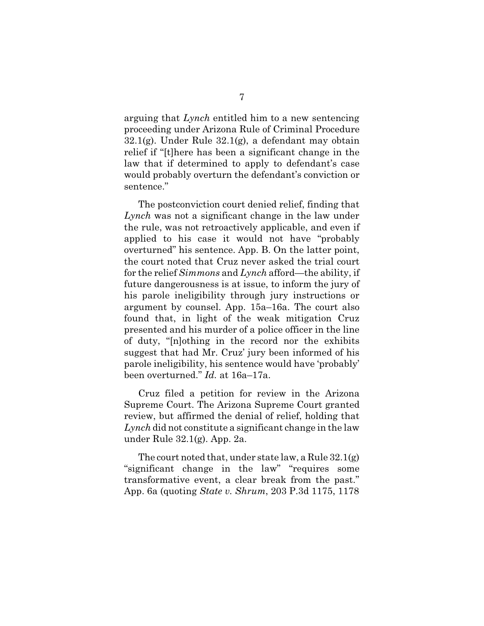arguing that *Lynch* entitled him to a new sentencing proceeding under Arizona Rule of Criminal Procedure  $32.1(g)$ . Under Rule  $32.1(g)$ , a defendant may obtain relief if "[t]here has been a significant change in the law that if determined to apply to defendant's case would probably overturn the defendant's conviction or sentence."

The postconviction court denied relief, finding that *Lynch* was not a significant change in the law under the rule, was not retroactively applicable, and even if applied to his case it would not have "probably overturned" his sentence. App. B. On the latter point, the court noted that Cruz never asked the trial court for the relief *Simmons* and *Lynch* afford—the ability, if future dangerousness is at issue, to inform the jury of his parole ineligibility through jury instructions or argument by counsel. App. 15a–16a. The court also found that, in light of the weak mitigation Cruz presented and his murder of a police officer in the line of duty, "[n]othing in the record nor the exhibits suggest that had Mr. Cruz' jury been informed of his parole ineligibility, his sentence would have 'probably' been overturned." *Id.* at 16a–17a.

Cruz filed a petition for review in the Arizona Supreme Court. The Arizona Supreme Court granted review, but affirmed the denial of relief, holding that *Lynch* did not constitute a significant change in the law under Rule 32.1(g). App. 2a.

The court noted that, under state law, a Rule 32.1(g) "significant change in the law" "requires some transformative event, a clear break from the past." App. 6a (quoting *State v. Shrum*, 203 P.3d 1175, 1178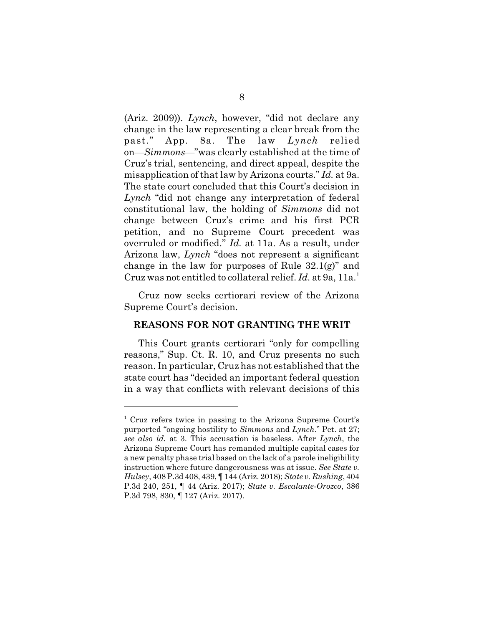(Ariz. 2009)). *Lynch*, however, "did not declare any change in the law representing a clear break from the past." App. 8a. The law *Lynch* relied on—*Simmons*—"was clearly established at the time of Cruz's trial, sentencing, and direct appeal, despite the misapplication of that law by Arizona courts." *Id.* at 9a. The state court concluded that this Court's decision in *Lynch* "did not change any interpretation of federal constitutional law, the holding of *Simmons* did not change between Cruz's crime and his first PCR petition, and no Supreme Court precedent was overruled or modified." *Id.* at 11a. As a result, under Arizona law, *Lynch* "does not represent a significant change in the law for purposes of Rule  $32.1(g)$ " and Cruz was not entitled to collateral relief. *Id.* at 9a, 11a.<sup>1</sup>

Cruz now seeks certiorari review of the Arizona Supreme Court's decision.

#### **REASONS FOR NOT GRANTING THE WRIT**

This Court grants certiorari "only for compelling reasons," Sup. Ct. R. 10, and Cruz presents no such reason. In particular, Cruz has not established that the state court has "decided an important federal question in a way that conflicts with relevant decisions of this

<sup>&</sup>lt;sup>1</sup> Cruz refers twice in passing to the Arizona Supreme Court's purported "ongoing hostility to *Simmons* and *Lynch*." Pet. at 27; *see also id.* at 3. This accusation is baseless. After *Lynch*, the Arizona Supreme Court has remanded multiple capital cases for a new penalty phase trial based on the lack of a parole ineligibility instruction where future dangerousness was at issue. *See State v. Hulsey*, 408 P.3d 408, 439, ¶ 144 (Ariz. 2018); *State v. Rushing*, 404 P.3d 240, 251, ¶ 44 (Ariz. 2017); *State v. Escalante-Orozco*, 386 P.3d 798, 830, ¶ 127 (Ariz. 2017).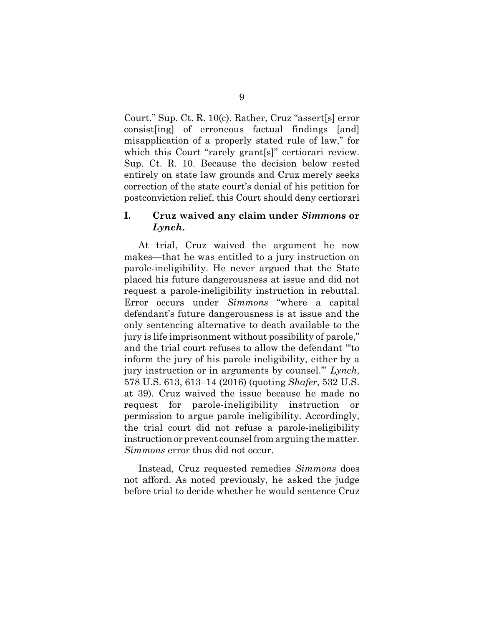Court." Sup. Ct. R. 10(c). Rather, Cruz "assert[s] error consist[ing] of erroneous factual findings [and] misapplication of a properly stated rule of law," for which this Court "rarely grant[s]" certiorari review. Sup. Ct. R. 10. Because the decision below rested entirely on state law grounds and Cruz merely seeks correction of the state court's denial of his petition for postconviction relief, this Court should deny certiorari

#### **I. Cruz waived any claim under** *Simmons* **or** *Lynch***.**

At trial, Cruz waived the argument he now makes—that he was entitled to a jury instruction on parole-ineligibility. He never argued that the State placed his future dangerousness at issue and did not request a parole-ineligibility instruction in rebuttal. Error occurs under *Simmons* "where a capital defendant's future dangerousness is at issue and the only sentencing alternative to death available to the jury is life imprisonment without possibility of parole," and the trial court refuses to allow the defendant "'to inform the jury of his parole ineligibility, either by a jury instruction or in arguments by counsel.'" *Lynch*, 578 U.S. 613, 613–14 (2016) (quoting *Shafer*, 532 U.S. at 39). Cruz waived the issue because he made no request for parole-ineligibility instruction or permission to argue parole ineligibility. Accordingly, the trial court did not refuse a parole-ineligibility instruction or prevent counsel from arguing the matter. *Simmons* error thus did not occur.

Instead, Cruz requested remedies *Simmons* does not afford. As noted previously, he asked the judge before trial to decide whether he would sentence Cruz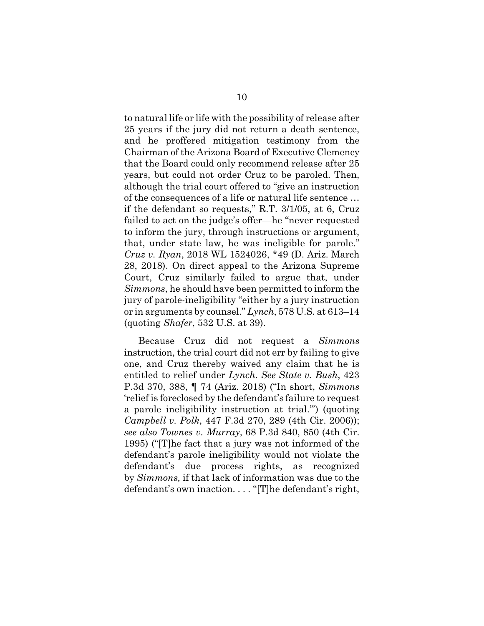to natural life or life with the possibility of release after 25 years if the jury did not return a death sentence, and he proffered mitigation testimony from the Chairman of the Arizona Board of Executive Clemency that the Board could only recommend release after 25 years, but could not order Cruz to be paroled. Then, although the trial court offered to "give an instruction of the consequences of a life or natural life sentence … if the defendant so requests," R.T. 3/1/05, at 6, Cruz failed to act on the judge's offer—he "never requested to inform the jury, through instructions or argument, that, under state law, he was ineligible for parole." *Cruz v. Ryan*, 2018 WL 1524026, \*49 (D. Ariz. March 28, 2018). On direct appeal to the Arizona Supreme Court, Cruz similarly failed to argue that, under *Simmons*, he should have been permitted to inform the jury of parole-ineligibility "either by a jury instruction or in arguments by counsel." *Lynch*, 578 U.S. at 613–14 (quoting *Shafer*, 532 U.S. at 39).

Because Cruz did not request a *Simmons* instruction, the trial court did not err by failing to give one, and Cruz thereby waived any claim that he is entitled to relief under *Lynch*. *See State v. Bush*, 423 P.3d 370, 388, ¶ 74 (Ariz. 2018) ("In short, *Simmons* 'relief is foreclosed by the defendant's failure to request a parole ineligibility instruction at trial.'") (quoting *Campbell v. Polk*, 447 F.3d 270, 289 (4th Cir. 2006)); *see also Townes v. Murray*, 68 P.3d 840, 850 (4th Cir. 1995) ("[T]he fact that a jury was not informed of the defendant's parole ineligibility would not violate the defendant's due process rights, as recognized by *Simmons,* if that lack of information was due to the defendant's own inaction. . . . "[T]he defendant's right,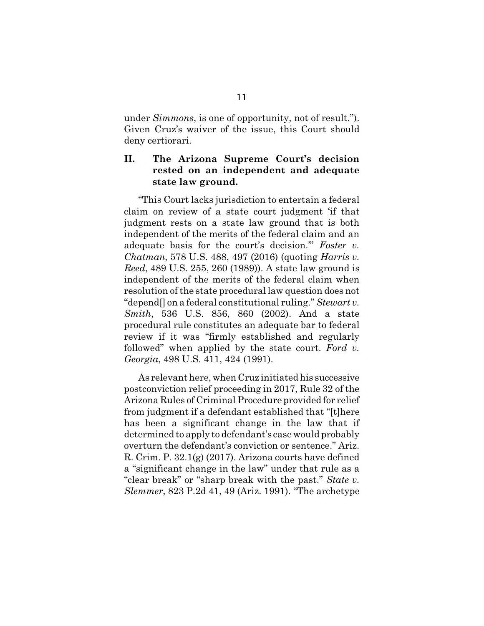under *Simmons*, is one of opportunity, not of result."). Given Cruz's waiver of the issue, this Court should deny certiorari.

## **II. The Arizona Supreme Court's decision rested on an independent and adequate state law ground.**

"This Court lacks jurisdiction to entertain a federal claim on review of a state court judgment 'if that judgment rests on a state law ground that is both independent of the merits of the federal claim and an adequate basis for the court's decision.'" *Foster v. Chatman*, 578 U.S. 488, 497 (2016) (quoting *Harris v. Reed*, 489 U.S. 255, 260 (1989)). A state law ground is independent of the merits of the federal claim when resolution of the state procedural law question does not "depend[] on a federal constitutional ruling." *Stewart v. Smith*, 536 U.S. 856, 860 (2002). And a state procedural rule constitutes an adequate bar to federal review if it was "firmly established and regularly followed" when applied by the state court. *Ford v. Georgia*, 498 U.S. 411, 424 (1991).

As relevant here, when Cruz initiated his successive postconviction relief proceeding in 2017, Rule 32 of the Arizona Rules of Criminal Procedure provided for relief from judgment if a defendant established that "[t]here has been a significant change in the law that if determined to apply to defendant's case would probably overturn the defendant's conviction or sentence." Ariz. R. Crim. P. 32.1(g) (2017). Arizona courts have defined a "significant change in the law" under that rule as a "clear break" or "sharp break with the past." *State v. Slemmer*, 823 P.2d 41, 49 (Ariz. 1991). "The archetype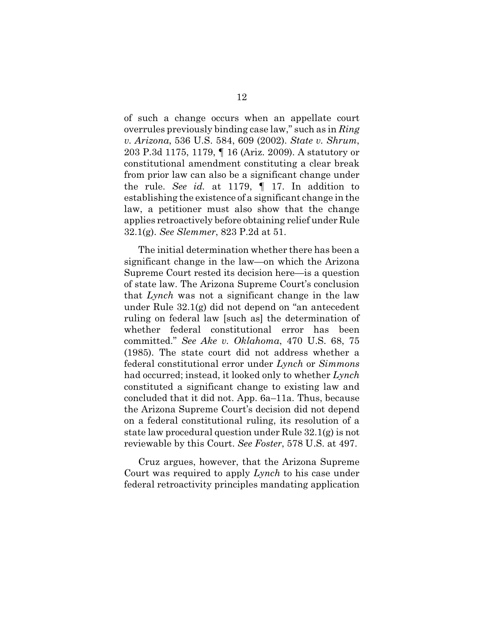of such a change occurs when an appellate court overrules previously binding case law," such as in *Ring v. Arizona*, 536 U.S. 584, 609 (2002). *State v. Shrum*, 203 P.3d 1175, 1179, ¶ 16 (Ariz. 2009). A statutory or constitutional amendment constituting a clear break from prior law can also be a significant change under the rule. *See id.* at 1179, ¶ 17. In addition to establishing the existence of a significant change in the law, a petitioner must also show that the change applies retroactively before obtaining relief under Rule 32.1(g). *See Slemmer*, 823 P.2d at 51.

The initial determination whether there has been a significant change in the law—on which the Arizona Supreme Court rested its decision here—is a question of state law. The Arizona Supreme Court's conclusion that *Lynch* was not a significant change in the law under Rule 32.1(g) did not depend on "an antecedent ruling on federal law [such as] the determination of whether federal constitutional error has been committed." *See Ake v. Oklahoma*, 470 U.S. 68, 75 (1985). The state court did not address whether a federal constitutional error under *Lynch* or *Simmons* had occurred; instead, it looked only to whether *Lynch* constituted a significant change to existing law and concluded that it did not. App. 6a–11a. Thus, because the Arizona Supreme Court's decision did not depend on a federal constitutional ruling, its resolution of a state law procedural question under Rule 32.1(g) is not reviewable by this Court. *See Foster*, 578 U.S. at 497.

Cruz argues, however, that the Arizona Supreme Court was required to apply *Lynch* to his case under federal retroactivity principles mandating application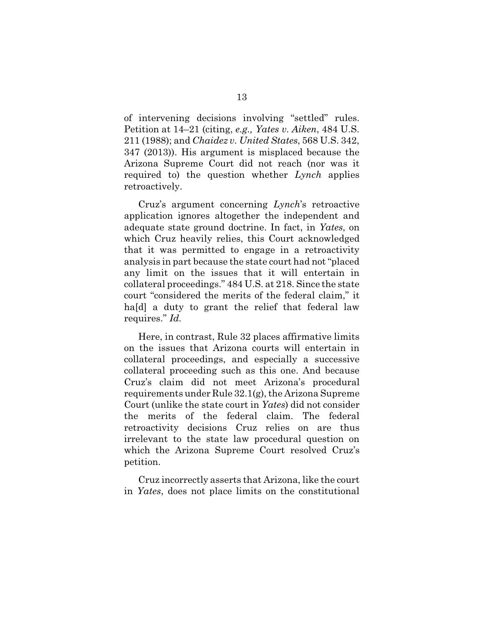of intervening decisions involving "settled" rules. Petition at 14–21 (citing, *e.g., Yates v. Aiken*, 484 U.S. 211 (1988); and *Chaidez v. United States*, 568 U.S. 342, 347 (2013)). His argument is misplaced because the Arizona Supreme Court did not reach (nor was it required to) the question whether *Lynch* applies retroactively.

Cruz's argument concerning *Lynch*'s retroactive application ignores altogether the independent and adequate state ground doctrine. In fact, in *Yates*, on which Cruz heavily relies, this Court acknowledged that it was permitted to engage in a retroactivity analysis in part because the state court had not "placed any limit on the issues that it will entertain in collateral proceedings." 484 U.S. at 218. Since the state court "considered the merits of the federal claim," it ha[d] a duty to grant the relief that federal law requires." *Id.*

Here, in contrast, Rule 32 places affirmative limits on the issues that Arizona courts will entertain in collateral proceedings, and especially a successive collateral proceeding such as this one. And because Cruz's claim did not meet Arizona's procedural requirements under Rule 32.1(g), the Arizona Supreme Court (unlike the state court in *Yates*) did not consider the merits of the federal claim. The federal retroactivity decisions Cruz relies on are thus irrelevant to the state law procedural question on which the Arizona Supreme Court resolved Cruz's petition.

Cruz incorrectly asserts that Arizona, like the court in *Yates*, does not place limits on the constitutional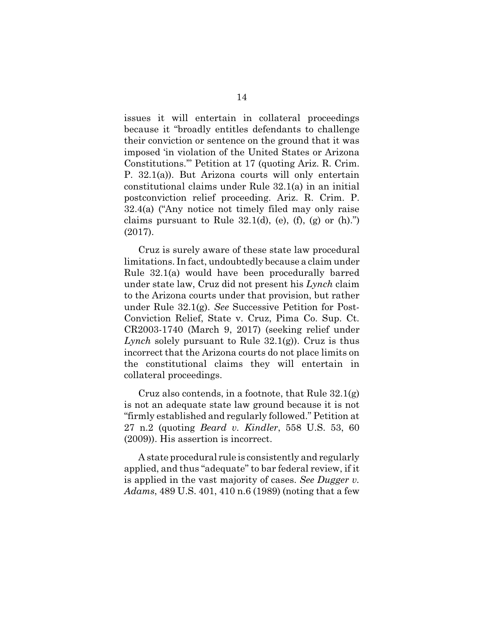issues it will entertain in collateral proceedings because it "broadly entitles defendants to challenge their conviction or sentence on the ground that it was imposed 'in violation of the United States or Arizona Constitutions.'" Petition at 17 (quoting Ariz. R. Crim. P. 32.1(a)). But Arizona courts will only entertain constitutional claims under Rule 32.1(a) in an initial postconviction relief proceeding. Ariz. R. Crim. P. 32.4(a) ("Any notice not timely filed may only raise claims pursuant to Rule  $32.1(d)$ , (e), (f), (g) or (h).") (2017).

Cruz is surely aware of these state law procedural limitations. In fact, undoubtedly because a claim under Rule 32.1(a) would have been procedurally barred under state law, Cruz did not present his *Lynch* claim to the Arizona courts under that provision, but rather under Rule 32.1(g). *See* Successive Petition for Post-Conviction Relief, State v. Cruz, Pima Co. Sup. Ct. CR2003-1740 (March 9, 2017) (seeking relief under *Lynch* solely pursuant to Rule 32.1(g)). Cruz is thus incorrect that the Arizona courts do not place limits on the constitutional claims they will entertain in collateral proceedings.

Cruz also contends, in a footnote, that Rule 32.1(g) is not an adequate state law ground because it is not "firmly established and regularly followed." Petition at 27 n.2 (quoting *Beard v. Kindler*, 558 U.S. 53, 60 (2009)). His assertion is incorrect.

A state procedural rule is consistently and regularly applied, and thus "adequate" to bar federal review, if it is applied in the vast majority of cases. *See Dugger v. Adams*, 489 U.S. 401, 410 n.6 (1989) (noting that a few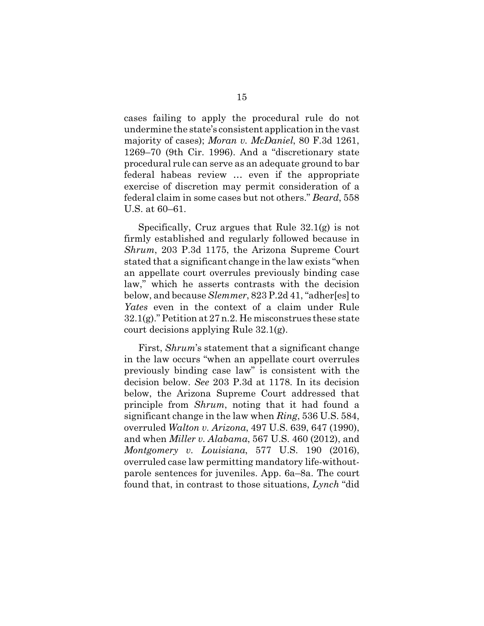cases failing to apply the procedural rule do not undermine the state's consistent application in the vast majority of cases); *Moran v. McDaniel*, 80 F.3d 1261, 1269–70 (9th Cir. 1996). And a "discretionary state procedural rule can serve as an adequate ground to bar federal habeas review … even if the appropriate exercise of discretion may permit consideration of a federal claim in some cases but not others." *Beard*, 558 U.S. at 60–61.

Specifically, Cruz argues that Rule 32.1(g) is not firmly established and regularly followed because in *Shrum*, 203 P.3d 1175, the Arizona Supreme Court stated that a significant change in the law exists "when an appellate court overrules previously binding case law," which he asserts contrasts with the decision below, and because *Slemmer*, 823 P.2d 41, "adher[es] to *Yates* even in the context of a claim under Rule 32.1(g)." Petition at 27 n.2. He misconstrues these state court decisions applying Rule 32.1(g).

First, *Shrum*'s statement that a significant change in the law occurs "when an appellate court overrules previously binding case law" is consistent with the decision below. *See* 203 P.3d at 1178. In its decision below, the Arizona Supreme Court addressed that principle from *Shrum*, noting that it had found a significant change in the law when *Ring*, 536 U.S. 584, overruled *Walton v. Arizona*, 497 U.S. 639, 647 (1990), and when *Miller v. Alabama*, 567 U.S. 460 (2012), and *Montgomery v. Louisiana*, 577 U.S. 190 (2016), overruled case law permitting mandatory life-withoutparole sentences for juveniles. App. 6a–8a. The court found that, in contrast to those situations, *Lynch* "did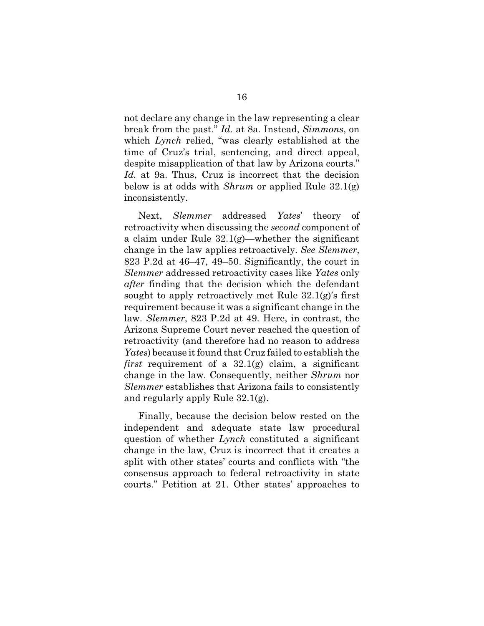not declare any change in the law representing a clear break from the past." *Id.* at 8a. Instead, *Simmons*, on which *Lynch* relied, "was clearly established at the time of Cruz's trial, sentencing, and direct appeal, despite misapplication of that law by Arizona courts." *Id.* at 9a. Thus, Cruz is incorrect that the decision below is at odds with *Shrum* or applied Rule 32.1(g) inconsistently.

Next, *Slemmer* addressed *Yates*' theory of retroactivity when discussing the *second* component of a claim under Rule  $32.1(g)$ —whether the significant change in the law applies retroactively. *See Slemmer*, 823 P.2d at 46–47, 49–50. Significantly, the court in *Slemmer* addressed retroactivity cases like *Yates* only *after* finding that the decision which the defendant sought to apply retroactively met Rule 32.1(g)'s first requirement because it was a significant change in the law. *Slemmer*, 823 P.2d at 49. Here, in contrast, the Arizona Supreme Court never reached the question of retroactivity (and therefore had no reason to address *Yates*) because it found that Cruz failed to establish the *first* requirement of a 32.1(g) claim, a significant change in the law. Consequently, neither *Shrum* nor *Slemmer* establishes that Arizona fails to consistently and regularly apply Rule 32.1(g).

Finally, because the decision below rested on the independent and adequate state law procedural question of whether *Lynch* constituted a significant change in the law, Cruz is incorrect that it creates a split with other states' courts and conflicts with "the consensus approach to federal retroactivity in state courts." Petition at 21. Other states' approaches to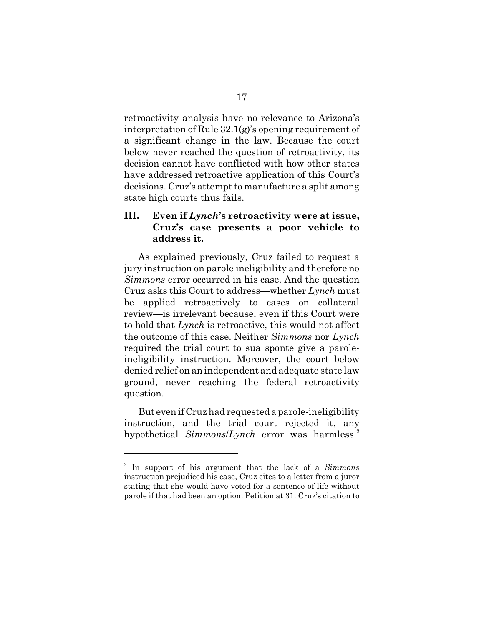retroactivity analysis have no relevance to Arizona's interpretation of Rule 32.1(g)'s opening requirement of a significant change in the law. Because the court below never reached the question of retroactivity, its decision cannot have conflicted with how other states have addressed retroactive application of this Court's decisions. Cruz's attempt to manufacture a split among state high courts thus fails.

# **III. Even if** *Lynch***'s retroactivity were at issue, Cruz's case presents a poor vehicle to address it.**

As explained previously, Cruz failed to request a jury instruction on parole ineligibility and therefore no *Simmons* error occurred in his case. And the question Cruz asks this Court to address—whether *Lynch* must be applied retroactively to cases on collateral review—is irrelevant because, even if this Court were to hold that *Lynch* is retroactive, this would not affect the outcome of this case. Neither *Simmons* nor *Lynch* required the trial court to sua sponte give a paroleineligibility instruction. Moreover, the court below denied relief on an independent and adequate state law ground, never reaching the federal retroactivity question.

But even if Cruz had requested a parole-ineligibility instruction, and the trial court rejected it, any hypothetical *Simmons*/*Lynch* error was harmless.<sup>2</sup>

<sup>2</sup> In support of his argument that the lack of a *Simmons* instruction prejudiced his case, Cruz cites to a letter from a juror stating that she would have voted for a sentence of life without parole if that had been an option. Petition at 31. Cruz's citation to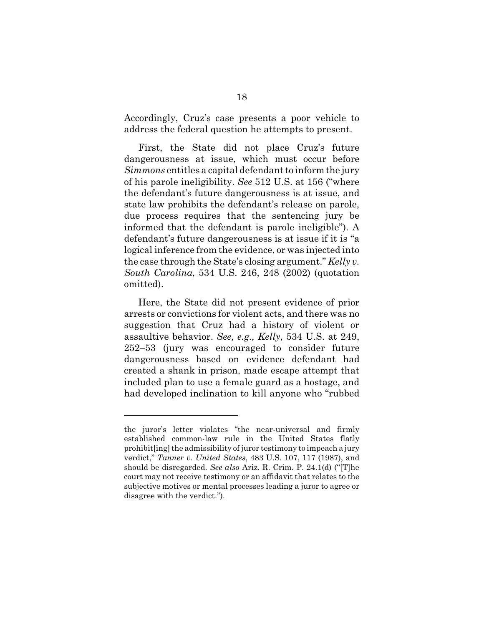Accordingly, Cruz's case presents a poor vehicle to address the federal question he attempts to present.

First, the State did not place Cruz's future dangerousness at issue, which must occur before *Simmons* entitles a capital defendant to inform the jury of his parole ineligibility. *See* 512 U.S. at 156 ("where the defendant's future dangerousness is at issue, and state law prohibits the defendant's release on parole, due process requires that the sentencing jury be informed that the defendant is parole ineligible"). A defendant's future dangerousness is at issue if it is "a logical inference from the evidence, or was injected into the case through the State's closing argument." *Kelly v. South Carolina*, 534 U.S. 246, 248 (2002) (quotation omitted).

Here, the State did not present evidence of prior arrests or convictions for violent acts, and there was no suggestion that Cruz had a history of violent or assaultive behavior. *See, e.g., Kelly*, 534 U.S. at 249, 252–53 (jury was encouraged to consider future dangerousness based on evidence defendant had created a shank in prison, made escape attempt that included plan to use a female guard as a hostage, and had developed inclination to kill anyone who "rubbed

the juror's letter violates "the near-universal and firmly established common-law rule in the United States flatly prohibit[ing] the admissibility of juror testimony to impeach a jury verdict," *Tanner v. United States*, 483 U.S. 107, 117 (1987), and should be disregarded. *See also* Ariz. R. Crim. P. 24.1(d) ("[T]he court may not receive testimony or an affidavit that relates to the subjective motives or mental processes leading a juror to agree or disagree with the verdict.").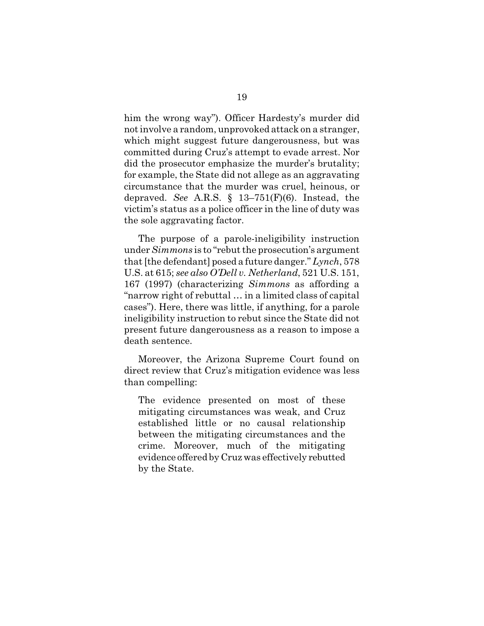him the wrong way"). Officer Hardesty's murder did not involve a random, unprovoked attack on a stranger, which might suggest future dangerousness, but was committed during Cruz's attempt to evade arrest. Nor did the prosecutor emphasize the murder's brutality; for example, the State did not allege as an aggravating circumstance that the murder was cruel, heinous, or depraved. *See* A.R.S. § 13–751(F)(6). Instead, the victim's status as a police officer in the line of duty was the sole aggravating factor.

The purpose of a parole-ineligibility instruction under *Simmons* is to "rebut the prosecution's argument that [the defendant] posed a future danger." *Lynch*, 578 U.S. at 615; *see also O'Dell v. Netherland*, 521 U.S. 151, 167 (1997) (characterizing *Simmons* as affording a "narrow right of rebuttal … in a limited class of capital cases"). Here, there was little, if anything, for a parole ineligibility instruction to rebut since the State did not present future dangerousness as a reason to impose a death sentence.

Moreover, the Arizona Supreme Court found on direct review that Cruz's mitigation evidence was less than compelling:

The evidence presented on most of these mitigating circumstances was weak, and Cruz established little or no causal relationship between the mitigating circumstances and the crime. Moreover, much of the mitigating evidence offered by Cruz was effectively rebutted by the State.